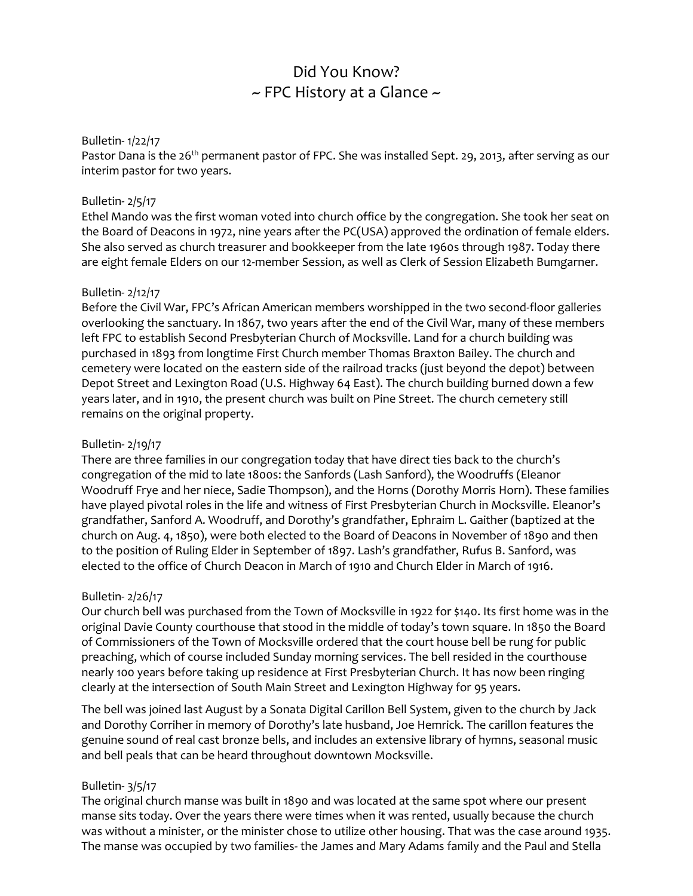# Did You Know?  $\sim$  FPC History at a Glance  $\sim$

## Bulletin- 1/22/17

Pastor Dana is the 26<sup>th</sup> permanent pastor of FPC. She was installed Sept. 29, 2013, after serving as our interim pastor for two years.

#### Bulletin- 2/5/17

Ethel Mando was the first woman voted into church office by the congregation. She took her seat on the Board of Deacons in 1972, nine years after the PC(USA) approved the ordination of female elders. She also served as church treasurer and bookkeeper from the late 1960s through 1987. Today there are eight female Elders on our 12-member Session, as well as Clerk of Session Elizabeth Bumgarner.

#### Bulletin- 2/12/17

Before the Civil War, FPC's African American members worshipped in the two second-floor galleries overlooking the sanctuary. In 1867, two years after the end of the Civil War, many of these members left FPC to establish Second Presbyterian Church of Mocksville. Land for a church building was purchased in 1893 from longtime First Church member Thomas Braxton Bailey. The church and cemetery were located on the eastern side of the railroad tracks (just beyond the depot) between Depot Street and Lexington Road (U.S. Highway 64 East). The church building burned down a few years later, and in 1910, the present church was built on Pine Street. The church cemetery still remains on the original property.

#### Bulletin- 2/19/17

There are three families in our congregation today that have direct ties back to the church's congregation of the mid to late 1800s: the Sanfords (Lash Sanford), the Woodruffs (Eleanor Woodruff Frye and her niece, Sadie Thompson), and the Horns (Dorothy Morris Horn). These families have played pivotal roles in the life and witness of First Presbyterian Church in Mocksville. Eleanor's grandfather, Sanford A. Woodruff, and Dorothy's grandfather, Ephraim L. Gaither (baptized at the church on Aug. 4, 1850), were both elected to the Board of Deacons in November of 1890 and then to the position of Ruling Elder in September of 1897. Lash's grandfather, Rufus B. Sanford, was elected to the office of Church Deacon in March of 1910 and Church Elder in March of 1916.

## Bulletin- 2/26/17

Our church bell was purchased from the Town of Mocksville in 1922 for \$140. Its first home was in the original Davie County courthouse that stood in the middle of today's town square. In 1850 the Board of Commissioners of the Town of Mocksville ordered that the court house bell be rung for public preaching, which of course included Sunday morning services. The bell resided in the courthouse nearly 100 years before taking up residence at First Presbyterian Church. It has now been ringing clearly at the intersection of South Main Street and Lexington Highway for 95 years.

The bell was joined last August by a Sonata Digital Carillon Bell System, given to the church by Jack and Dorothy Corriher in memory of Dorothy's late husband, Joe Hemrick. The carillon features the genuine sound of real cast bronze bells, and includes an extensive library of hymns, seasonal music and bell peals that can be heard throughout downtown Mocksville.

## Bulletin- 3/5/17

The original church manse was built in 1890 and was located at the same spot where our present manse sits today. Over the years there were times when it was rented, usually because the church was without a minister, or the minister chose to utilize other housing. That was the case around 1935. The manse was occupied by two families- the James and Mary Adams family and the Paul and Stella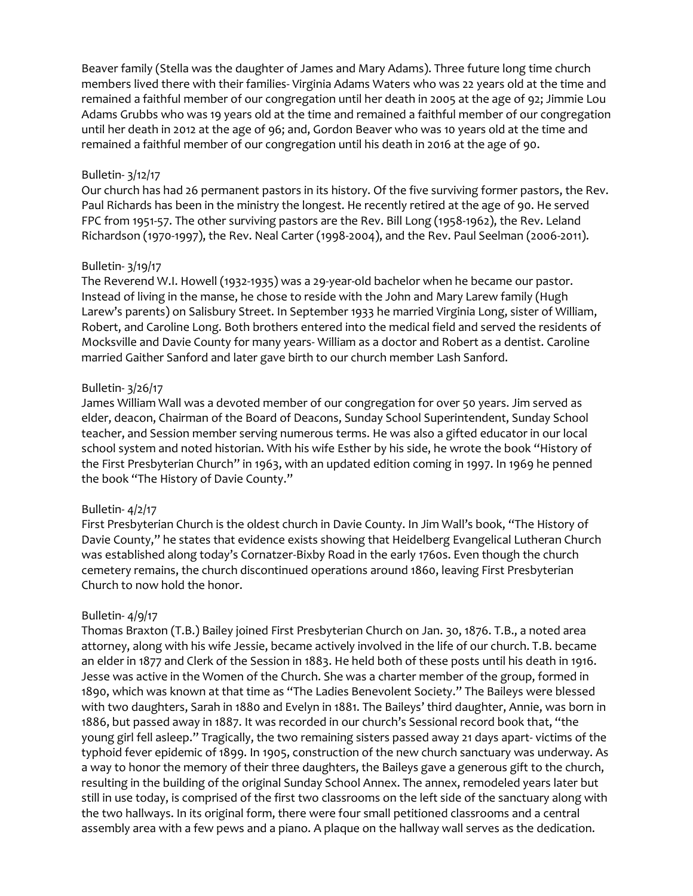Beaver family (Stella was the daughter of James and Mary Adams). Three future long time church members lived there with their families- Virginia Adams Waters who was 22 years old at the time and remained a faithful member of our congregation until her death in 2005 at the age of 92; Jimmie Lou Adams Grubbs who was 19 years old at the time and remained a faithful member of our congregation until her death in 2012 at the age of 96; and, Gordon Beaver who was 10 years old at the time and remained a faithful member of our congregation until his death in 2016 at the age of 90.

## Bulletin- 3/12/17

Our church has had 26 permanent pastors in its history. Of the five surviving former pastors, the Rev. Paul Richards has been in the ministry the longest. He recently retired at the age of 90. He served FPC from 1951-57. The other surviving pastors are the Rev. Bill Long (1958-1962), the Rev. Leland Richardson (1970-1997), the Rev. Neal Carter (1998-2004), and the Rev. Paul Seelman (2006-2011).

## Bulletin- 3/19/17

The Reverend W.I. Howell (1932-1935) was a 29-year-old bachelor when he became our pastor. Instead of living in the manse, he chose to reside with the John and Mary Larew family (Hugh Larew's parents) on Salisbury Street. In September 1933 he married Virginia Long, sister of William, Robert, and Caroline Long. Both brothers entered into the medical field and served the residents of Mocksville and Davie County for many years- William as a doctor and Robert as a dentist. Caroline married Gaither Sanford and later gave birth to our church member Lash Sanford.

## Bulletin- 3/26/17

James William Wall was a devoted member of our congregation for over 50 years. Jim served as elder, deacon, Chairman of the Board of Deacons, Sunday School Superintendent, Sunday School teacher, and Session member serving numerous terms. He was also a gifted educator in our local school system and noted historian. With his wife Esther by his side, he wrote the book "History of the First Presbyterian Church" in 1963, with an updated edition coming in 1997. In 1969 he penned the book "The History of Davie County."

## Bulletin- 4/2/17

First Presbyterian Church is the oldest church in Davie County. In Jim Wall's book, "The History of Davie County," he states that evidence exists showing that Heidelberg Evangelical Lutheran Church was established along today's Cornatzer-Bixby Road in the early 1760s. Even though the church cemetery remains, the church discontinued operations around 1860, leaving First Presbyterian Church to now hold the honor.

# Bulletin- 4/9/17

Thomas Braxton (T.B.) Bailey joined First Presbyterian Church on Jan. 30, 1876. T.B., a noted area attorney, along with his wife Jessie, became actively involved in the life of our church. T.B. became an elder in 1877 and Clerk of the Session in 1883. He held both of these posts until his death in 1916. Jesse was active in the Women of the Church. She was a charter member of the group, formed in 1890, which was known at that time as "The Ladies Benevolent Society." The Baileys were blessed with two daughters, Sarah in 1880 and Evelyn in 1881. The Baileys' third daughter, Annie, was born in 1886, but passed away in 1887. It was recorded in our church's Sessional record book that, "the young girl fell asleep." Tragically, the two remaining sisters passed away 21 days apart- victims of the typhoid fever epidemic of 1899. In 1905, construction of the new church sanctuary was underway. As a way to honor the memory of their three daughters, the Baileys gave a generous gift to the church, resulting in the building of the original Sunday School Annex. The annex, remodeled years later but still in use today, is comprised of the first two classrooms on the left side of the sanctuary along with the two hallways. In its original form, there were four small petitioned classrooms and a central assembly area with a few pews and a piano. A plaque on the hallway wall serves as the dedication.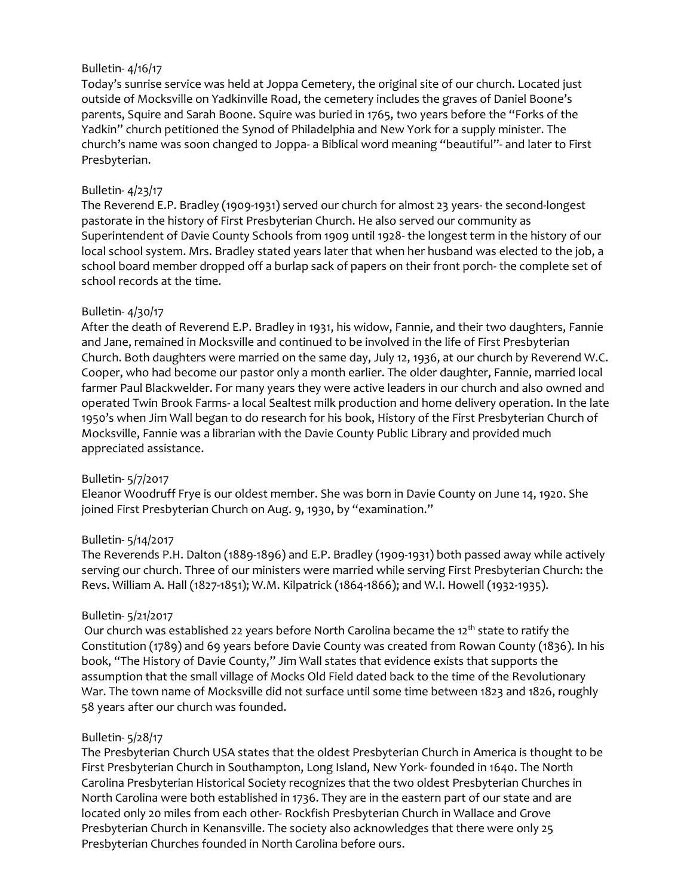## Bulletin- 4/16/17

Today's sunrise service was held at Joppa Cemetery, the original site of our church. Located just outside of Mocksville on Yadkinville Road, the cemetery includes the graves of Daniel Boone's parents, Squire and Sarah Boone. Squire was buried in 1765, two years before the "Forks of the Yadkin" church petitioned the Synod of Philadelphia and New York for a supply minister. The church's name was soon changed to Joppa- a Biblical word meaning "beautiful"- and later to First Presbyterian.

## Bulletin- 4/23/17

The Reverend E.P. Bradley (1909-1931) served our church for almost 23 years- the second-longest pastorate in the history of First Presbyterian Church. He also served our community as Superintendent of Davie County Schools from 1909 until 1928- the longest term in the history of our local school system. Mrs. Bradley stated years later that when her husband was elected to the job, a school board member dropped off a burlap sack of papers on their front porch- the complete set of school records at the time.

## Bulletin- 4/30/17

After the death of Reverend E.P. Bradley in 1931, his widow, Fannie, and their two daughters, Fannie and Jane, remained in Mocksville and continued to be involved in the life of First Presbyterian Church. Both daughters were married on the same day, July 12, 1936, at our church by Reverend W.C. Cooper, who had become our pastor only a month earlier. The older daughter, Fannie, married local farmer Paul Blackwelder. For many years they were active leaders in our church and also owned and operated Twin Brook Farms- a local Sealtest milk production and home delivery operation. In the late 1950's when Jim Wall began to do research for his book, History of the First Presbyterian Church of Mocksville, Fannie was a librarian with the Davie County Public Library and provided much appreciated assistance.

## Bulletin- 5/7/2017

Eleanor Woodruff Frye is our oldest member. She was born in Davie County on June 14, 1920. She joined First Presbyterian Church on Aug. 9, 1930, by "examination."

# Bulletin- 5/14/2017

The Reverends P.H. Dalton (1889-1896) and E.P. Bradley (1909-1931) both passed away while actively serving our church. Three of our ministers were married while serving First Presbyterian Church: the Revs. William A. Hall (1827-1851); W.M. Kilpatrick (1864-1866); and W.I. Howell (1932-1935).

# Bulletin- 5/21/2017

Our church was established 22 years before North Carolina became the 12<sup>th</sup> state to ratify the Constitution (1789) and 69 years before Davie County was created from Rowan County (1836). In his book, "The History of Davie County," Jim Wall states that evidence exists that supports the assumption that the small village of Mocks Old Field dated back to the time of the Revolutionary War. The town name of Mocksville did not surface until some time between 1823 and 1826, roughly 58 years after our church was founded.

## Bulletin- 5/28/17

The Presbyterian Church USA states that the oldest Presbyterian Church in America is thought to be First Presbyterian Church in Southampton, Long Island, New York- founded in 1640. The North Carolina Presbyterian Historical Society recognizes that the two oldest Presbyterian Churches in North Carolina were both established in 1736. They are in the eastern part of our state and are located only 20 miles from each other- Rockfish Presbyterian Church in Wallace and Grove Presbyterian Church in Kenansville. The society also acknowledges that there were only 25 Presbyterian Churches founded in North Carolina before ours.